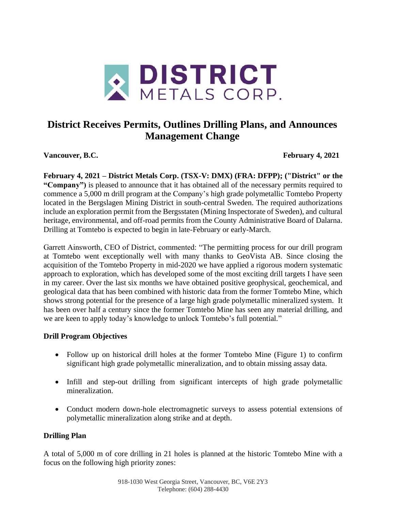

# **District Receives Permits, Outlines Drilling Plans, and Announces Management Change**

**Vancouver, B.C. February 4, 2021**

**February 4, 2021 – District Metals Corp. (TSX-V: DMX) (FRA: DFPP); ("District" or the "Company")** is pleased to announce that it has obtained all of the necessary permits required to commence a 5,000 m drill program at the Company's high grade polymetallic Tomtebo Property located in the Bergslagen Mining District in south-central Sweden. The required authorizations include an exploration permit from the Bergsstaten (Mining Inspectorate of Sweden), and cultural heritage, environmental, and off-road permits from the County Administrative Board of Dalarna. Drilling at Tomtebo is expected to begin in late-February or early-March.

Garrett Ainsworth, CEO of District, commented: "The permitting process for our drill program at Tomtebo went exceptionally well with many thanks to GeoVista AB. Since closing the acquisition of the Tomtebo Property in mid-2020 we have applied a rigorous modern systematic approach to exploration, which has developed some of the most exciting drill targets I have seen in my career. Over the last six months we have obtained positive geophysical, geochemical, and geological data that has been combined with historic data from the former Tomtebo Mine, which shows strong potential for the presence of a large high grade polymetallic mineralized system. It has been over half a century since the former Tomtebo Mine has seen any material drilling, and we are keen to apply today's knowledge to unlock Tomtebo's full potential."

# **Drill Program Objectives**

- Follow up on historical drill holes at the former Tomtebo Mine (Figure 1) to confirm significant high grade polymetallic mineralization, and to obtain missing assay data.
- Infill and step-out drilling from significant intercepts of high grade polymetallic mineralization.
- Conduct modern down-hole electromagnetic surveys to assess potential extensions of polymetallic mineralization along strike and at depth.

# **Drilling Plan**

A total of 5,000 m of core drilling in 21 holes is planned at the historic Tomtebo Mine with a focus on the following high priority zones: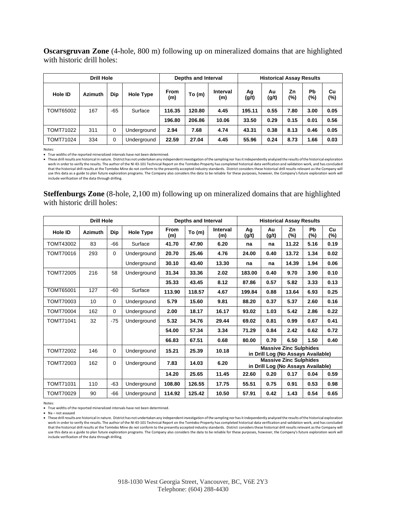**Oscarsgruvan Zone** (4-hole, 800 m) following up on mineralized domains that are highlighted with historic drill holes:

| <b>Drill Hole</b> |                |            |                  |             | Depths and Interval |                 | <b>Historical Assay Results</b> |             |           |           |           |  |
|-------------------|----------------|------------|------------------|-------------|---------------------|-----------------|---------------------------------|-------------|-----------|-----------|-----------|--|
| Hole ID           | <b>Azimuth</b> | <b>Dip</b> | <b>Hole Type</b> | From<br>(m) | To(m)               | Interval<br>(m) | Αg<br>(g/t)                     | Au<br>(g/t) | Zn<br>(%) | Рb<br>(%) | Cu<br>(%) |  |
| TOMT65002         | 167            | $-65$      | Surface          | 116.35      | 120.80              | 4.45            | 195.11                          | 0.55        | 7.80      | 3.00      | 0.05      |  |
|                   |                |            |                  | 196.80      | 206.86              | 10.06           | 33.50                           | 0.29        | 0.15      | 0.01      | 0.56      |  |
| TOMT71022         | 311            | $\Omega$   | Underground      | 2.94        | 7.68                | 4.74            | 43.31                           | 0.38        | 8.13      | 0.46      | 0.05      |  |
| TOMT71024         | 334            | 0          | Underground      | 22.59       | 27.04               | 4.45            | 55.96                           | 0.24        | 8.73      | 1.66      | 0.03      |  |

Notes:

• True widths of the reported mineralized intervals have not been determined.

• These drill results are historical in nature. District has not undertaken any independent investigation of the sampling nor has it independently analyzed the results of the historical exploration work in order to verify the results. The author of the NI 43-101 Technical Report on the Tomtebo Property has completed historical data verification and validation work, and has concluded that the historical drill results at the Tomtebo Mine do not conform to the presently accepted industry standards. District considers these historical drill results relevant as the Company will use this data as a guide to plan future exploration programs. The Company also considers the data to be reliable for these purposes, however, the Company's future exploration work will include verification of the data through drilling.

**Steffenburgs Zone** (8-hole, 2,100 m) following up on mineralized domains that are highlighted with historic drill holes:

|                  | <b>Drill Hole</b> |          |                  |             | Depths and Interval<br><b>Historical Assay Results</b> |                 |                                                                     |             |              |                     |           |
|------------------|-------------------|----------|------------------|-------------|--------------------------------------------------------|-----------------|---------------------------------------------------------------------|-------------|--------------|---------------------|-----------|
| <b>Hole ID</b>   | <b>Azimuth</b>    | Dip      | <b>Hole Type</b> | From<br>(m) | To $(m)$                                               | Interval<br>(m) | Ag<br>(g/t)                                                         | Au<br>(g/t) | Zn<br>$(\%)$ | <b>Pb</b><br>$(\%)$ | Cu<br>(%) |
| TOMT43002        | 83                | -66      | Surface          | 41.70       | 47.90                                                  | 6.20            | na                                                                  | na          | 11.22        | 5.16                | 0.19      |
| TOMT70016        | 293               | $\Omega$ | Underground      | 20.70       | 25.46                                                  | 4.76            | 24.00                                                               | 0.40        | 13.72        | 1.34                | 0.02      |
|                  |                   |          | Underground      | 30.10       | 43.40                                                  | 13.30           | na                                                                  | na          | 14.39        | 1.94                | 0.06      |
| TOMT72005        | 216               | 58       | Underground      | 31.34       | 33.36                                                  | 2.02            | 183.00                                                              | 0.40        | 9.70         | 3.90                | 0.10      |
|                  |                   |          |                  | 35.33       | 43.45                                                  | 8.12            | 87.86                                                               | 0.57        | 5.82         | 3.33                | 0.13      |
| TOMT65001        | 127               | -60      | Surface          | 113.90      | 118.57                                                 | 4.67            | 199.84                                                              | 0.88        | 13.64        | 6.93                | 0.25      |
| <b>TOMT70003</b> | 10                | $\Omega$ | Underground      | 5.79        | 15.60                                                  | 9.81            | 88.20                                                               | 0.37        | 5.37         | 2.60                | 0.16      |
| TOMT70004        | 162               | $\Omega$ | Underground      | 2.00        | 18.17                                                  | 16.17           | 93.02                                                               | 1.03        | 5.42         | 2.86                | 0.22      |
| <b>TOMT71041</b> | 32                | $-75$    | Underground      | 5.32        | 34.76                                                  | 29.44           | 69.02                                                               | 0.81        | 0.99         | 0.67                | 0.41      |
|                  |                   |          |                  | 54.00       | 57.34                                                  | 3.34            | 71.29                                                               | 0.84        | 2.42         | 0.62                | 0.72      |
|                  |                   |          |                  | 66.83       | 67.51                                                  | 0.68            | 80.00                                                               | 0.70        | 6.50         | 1.50                | 0.40      |
| <b>TOMT72002</b> | 146               | $\Omega$ | Underground      | 15.21       | 25.39                                                  | 10.18           | <b>Massive Zinc Sulphides</b><br>in Drill Log (No Assays Available) |             |              |                     |           |
| <b>TOMT72003</b> | 162               | $\Omega$ | Underground      | 7.83        | 14.03                                                  | 6.20            | <b>Massive Zinc Sulphides</b><br>in Drill Log (No Assays Available) |             |              |                     |           |
|                  |                   |          |                  | 14.20       | 25.65                                                  | 11.45           | 22.60                                                               | 0.20        | 0.17         | 0.04                | 0.59      |
| <b>TOMT71031</b> | 110               | $-63$    | Underground      | 108.80      | 126.55                                                 | 17.75           | 55.51                                                               | 0.75        | 0.91         | 0.53                | 0.98      |
| <b>TOMT70029</b> | 90                | $-66$    | Underground      | 114.92      | 125.42                                                 | 10.50           | 57.91                                                               | 0.42        | 1.43         | 0.54                | 0.65      |

Notes:

• True widths of the reported mineralized intervals have not been determined.

• Na – not assayed

• These drill results are historical in nature. District has not undertaken any independent investigation of the sampling nor has it independently analyzed the results of the historical exploration work in order to verify the results. The author of the NI 43-101 Technical Report on the Tomtebo Property has completed historical data verification and validation work, and has concluded that the historical drill results at the Tomtebo Mine do not conform to the presently accepted industry standards. District considers these historical drill results relevant as the Company will use this data as a guide to plan future exploration programs. The Company also considers the data to be reliable for these purposes, however, the Company's future exploration work will include verification of the data through drilling.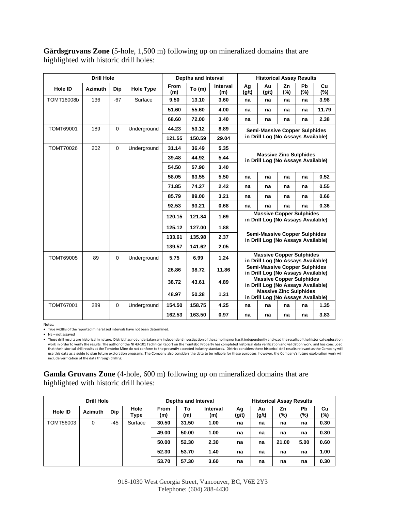**Gårdsgruvans Zone** (5-hole, 1,500 m) following up on mineralized domains that are highlighted with historic drill holes:

| <b>Drill Hole</b> |                |             |                  |             | Depths and Interval |                 |                                                                                                                                                                                                                              | <b>Historical Assay Results</b>                                       |    |           |           |  |
|-------------------|----------------|-------------|------------------|-------------|---------------------|-----------------|------------------------------------------------------------------------------------------------------------------------------------------------------------------------------------------------------------------------------|-----------------------------------------------------------------------|----|-----------|-----------|--|
| Hole ID           | <b>Azimuth</b> | Dip         | <b>Hole Type</b> | From<br>(m) | To (m)              | Interval<br>(m) | Ag<br>Au<br>Zn<br>(%)<br>(q/t)<br>(g/t)                                                                                                                                                                                      |                                                                       |    | Pb<br>(%) | Cu<br>(%) |  |
| TOMT16008b        | 136            | $-67$       | Surface          | 9.50        | 13.10               | 3.60            | na                                                                                                                                                                                                                           | na                                                                    | na | na        | 3.98      |  |
|                   |                |             |                  | 51.60       | 55.60               | 4.00            | na                                                                                                                                                                                                                           | na                                                                    | na | na        | 11.79     |  |
|                   |                |             |                  | 68.60       | 72.00               | 3.40            | na                                                                                                                                                                                                                           | na                                                                    | na | na        | 2.38      |  |
| <b>TOMT69001</b>  | 189            | $\mathbf 0$ | Underground      | 44.23       | 53.12               | 8.89            | <b>Semi-Massive Copper Sulphides</b>                                                                                                                                                                                         |                                                                       |    |           |           |  |
|                   |                |             |                  | 121.55      | 150.59              | 29.04           |                                                                                                                                                                                                                              | in Drill Log (No Assays Available)                                    |    |           |           |  |
| <b>TOMT70026</b>  | 202            | $\Omega$    | Underground      | 31.14       | 36.49               | 5.35            |                                                                                                                                                                                                                              |                                                                       |    |           |           |  |
|                   |                |             |                  | 39.48       | 44.92               | 5.44            |                                                                                                                                                                                                                              | <b>Massive Zinc Sulphides</b><br>in Drill Log (No Assays Available)   |    |           |           |  |
|                   |                |             |                  | 54.50       | 57.90               | 3.40            |                                                                                                                                                                                                                              |                                                                       |    |           |           |  |
|                   |                |             |                  | 58.05       | 63.55               | 5.50            | na<br>na                                                                                                                                                                                                                     |                                                                       | na | na        | 0.52      |  |
|                   |                |             |                  | 71.85       | 74.27               | 2.42            | na                                                                                                                                                                                                                           | na                                                                    | na | na        | 0.55      |  |
|                   |                |             |                  | 85.79       | 89.00               | 3.21            | na                                                                                                                                                                                                                           | na                                                                    | na | na        | 0.66      |  |
|                   |                |             |                  | 92.53       | 93.21               | 0.68            | na                                                                                                                                                                                                                           | na                                                                    | na | na        | 0.36      |  |
|                   |                |             |                  | 120.15      | 121.84              | 1.69            |                                                                                                                                                                                                                              | <b>Massive Copper Sulphides</b><br>in Drill Log (No Assays Available) |    |           |           |  |
|                   |                |             |                  | 125.12      | 127.00              | 1.88            |                                                                                                                                                                                                                              |                                                                       |    |           |           |  |
|                   |                |             |                  | 133.61      | 135.98              | 2.37            | <b>Semi-Massive Copper Sulphides</b><br>in Drill Log (No Assays Available)                                                                                                                                                   |                                                                       |    |           |           |  |
|                   |                |             |                  | 139.57      | 141.62              | 2.05            |                                                                                                                                                                                                                              |                                                                       |    |           |           |  |
| <b>TOMT69005</b>  | 89             | $\Omega$    | Underground      | 5.75        | 6.99                | 1.24            | <b>Massive Copper Sulphides</b><br>in Drill Log (No Assays Available)<br><b>Semi-Massive Copper Sulphides</b><br>in Drill Log (No Assays Available)<br><b>Massive Copper Sulphides</b><br>in Drill Log (No Assays Available) |                                                                       |    |           |           |  |
|                   |                |             |                  | 26.86       | 38.72               | 11.86           |                                                                                                                                                                                                                              |                                                                       |    |           |           |  |
|                   |                |             |                  | 38.72       | 43.61               | 4.89            |                                                                                                                                                                                                                              |                                                                       |    |           |           |  |
|                   |                |             |                  | 48.97       | 50.28               | 1.31            | <b>Massive Zinc Sulphides</b><br>in Drill Log (No Assays Available)                                                                                                                                                          |                                                                       |    |           |           |  |
| <b>TOMT67001</b>  | 289            | $\Omega$    | Underground      | 154.50      | 158.75              | 4.25            | na                                                                                                                                                                                                                           | na                                                                    | na | na        | 1.35      |  |
|                   |                |             |                  | 162.53      | 163.50              | 0.97            | na                                                                                                                                                                                                                           | na                                                                    | na | na        | 3.83      |  |

Notes:

• Na – not assayed

• These drill results are historical in nature. District has not undertaken any independent investigation of the sampling nor has it independently analyzed the results of the historical exploration work in order to verify the results. The author of the NI 43-101 Technical Report on the Tomtebo Property has completed historical data verification and validation work, and has concluded that the historical drill results at the Tomtebo Mine do not conform to the presently accepted industry standards. District considers these historical drill results relevant as the Company will use this data as a guide to plan future exploration programs. The Company also considers the data to be reliable for these purposes, however, the Company's future exploration work will include verification of the data through drilling.

**Gamla Gruvans Zone** (4-hole, 600 m) following up on mineralized domains that are highlighted with historic drill holes:

| <b>Drill Hole</b> |                |            |              |             | Depths and Interval |                        | <b>Historical Assay Results</b> |             |           |           |           |  |
|-------------------|----------------|------------|--------------|-------------|---------------------|------------------------|---------------------------------|-------------|-----------|-----------|-----------|--|
| Hole ID           | <b>Azimuth</b> | <b>Dip</b> | Hole<br>Type | From<br>(m) | То<br>(m)           | <b>Interval</b><br>(m) | Ag<br>(g/t)                     | Au<br>(g/t) | Ζn<br>(%) | Pb<br>(%) | Cu<br>(%) |  |
| TOMT56003         | 0              | $-45$      | Surface      | 30.50       | 31.50               | 1.00                   | na                              | na          | na        | na        | 0.30      |  |
|                   |                |            |              | 49.00       | 50.00               | 1.00                   | na                              | na          | na        | na        | 0.30      |  |
|                   |                |            |              | 50.00       | 52.30               | 2.30                   | na                              | na          | 21.00     | 5.00      | 0.60      |  |
|                   |                |            |              | 52.30       | 53.70               | 1.40                   | na                              | na          | na        | na        | 1.00      |  |
|                   |                |            |              | 53.70       | 57.30               | 3.60                   | na                              | na          | na        | na        | 0.30      |  |

<sup>•</sup> True widths of the reported mineralized intervals have not been determined.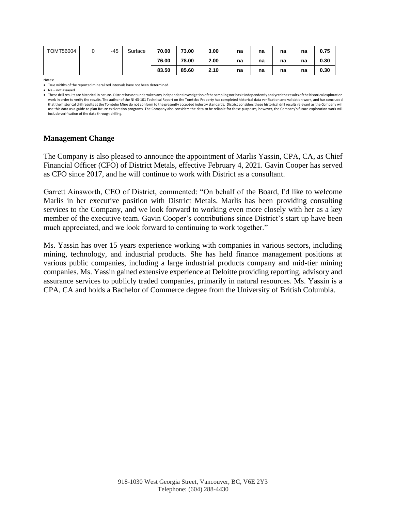| TOMT56004 | $-45$ | Surface | 70.00 | 73.00 | 3.00 | na | na | na | na | 0.75 |
|-----------|-------|---------|-------|-------|------|----|----|----|----|------|
|           |       |         | 76.00 | 78.00 | 2.00 | na | na | na | na | 0.30 |
|           |       |         | 83.50 | 85.60 | 2.10 | na | na | na | na | 0.30 |

Notes:

• True widths of the reported mineralized intervals have not been determined.

• Na – not assayed

• These drill results are historical in nature. District has not undertaken any independent investigation of the sampling nor has it independently analyzed the results of the historical exploration work in order to verify the results. The author of the NI 43-101 Technical Report on the Tomtebo Property has completed historical data verification and validation work, and has concluded that the historical drill results at the Tomtebo Mine do not conform to the presently accepted industry standards. District considers these historical drill results relevant as the Company will use this data as a guide to plan future exploration programs. The Company also considers the data to be reliable for these purposes, however, the Company's future exploration work will include verification of the data through drilling.

### **Management Change**

The Company is also pleased to announce the appointment of Marlis Yassin, CPA, CA, as Chief Financial Officer (CFO) of District Metals, effective February 4, 2021. Gavin Cooper has served as CFO since 2017, and he will continue to work with District as a consultant.

Garrett Ainsworth, CEO of District, commented: "On behalf of the Board, I'd like to welcome Marlis in her executive position with District Metals. Marlis has been providing consulting services to the Company, and we look forward to working even more closely with her as a key member of the executive team. Gavin Cooper's contributions since District's start up have been much appreciated, and we look forward to continuing to work together."

Ms. Yassin has over 15 years experience working with companies in various sectors, including mining, technology, and industrial products. She has held finance management positions at various public companies, including a large industrial products company and mid-tier mining companies. Ms. Yassin gained extensive experience at Deloitte providing reporting, advisory and assurance services to publicly traded companies, primarily in natural resources. Ms. Yassin is a CPA, CA and holds a Bachelor of Commerce degree from the University of British Columbia.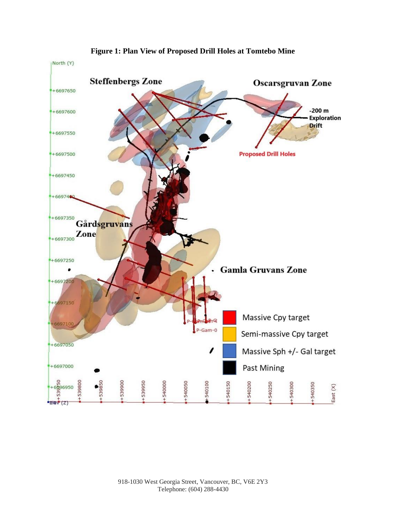

### **Figure 1: Plan View of Proposed Drill Holes at Tomtebo Mine**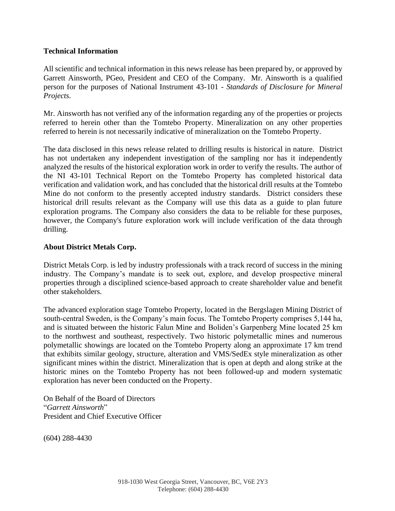## **Technical Information**

All scientific and technical information in this news release has been prepared by, or approved by Garrett Ainsworth, PGeo, President and CEO of the Company. Mr. Ainsworth is a qualified person for the purposes of National Instrument 43-101 - *Standards of Disclosure for Mineral Projects.*

Mr. Ainsworth has not verified any of the information regarding any of the properties or projects referred to herein other than the Tomtebo Property. Mineralization on any other properties referred to herein is not necessarily indicative of mineralization on the Tomtebo Property.

The data disclosed in this news release related to drilling results is historical in nature. District has not undertaken any independent investigation of the sampling nor has it independently analyzed the results of the historical exploration work in order to verify the results. The author of the NI 43-101 Technical Report on the Tomtebo Property has completed historical data verification and validation work, and has concluded that the historical drill results at the Tomtebo Mine do not conform to the presently accepted industry standards. District considers these historical drill results relevant as the Company will use this data as a guide to plan future exploration programs. The Company also considers the data to be reliable for these purposes, however, the Company's future exploration work will include verification of the data through drilling.

# **About District Metals Corp.**

District Metals Corp. is led by industry professionals with a track record of success in the mining industry. The Company's mandate is to seek out, explore, and develop prospective mineral properties through a disciplined science-based approach to create shareholder value and benefit other stakeholders.

The advanced exploration stage Tomtebo Property, located in the Bergslagen Mining District of south-central Sweden, is the Company's main focus. The Tomtebo Property comprises 5,144 ha, and is situated between the historic Falun Mine and Boliden's Garpenberg Mine located 25 km to the northwest and southeast, respectively. Two historic polymetallic mines and numerous polymetallic showings are located on the Tomtebo Property along an approximate 17 km trend that exhibits similar geology, structure, alteration and VMS/SedEx style mineralization as other significant mines within the district. Mineralization that is open at depth and along strike at the historic mines on the Tomtebo Property has not been followed-up and modern systematic exploration has never been conducted on the Property.

On Behalf of the Board of Directors "*Garrett Ainsworth*" President and Chief Executive Officer

(604) 288-4430